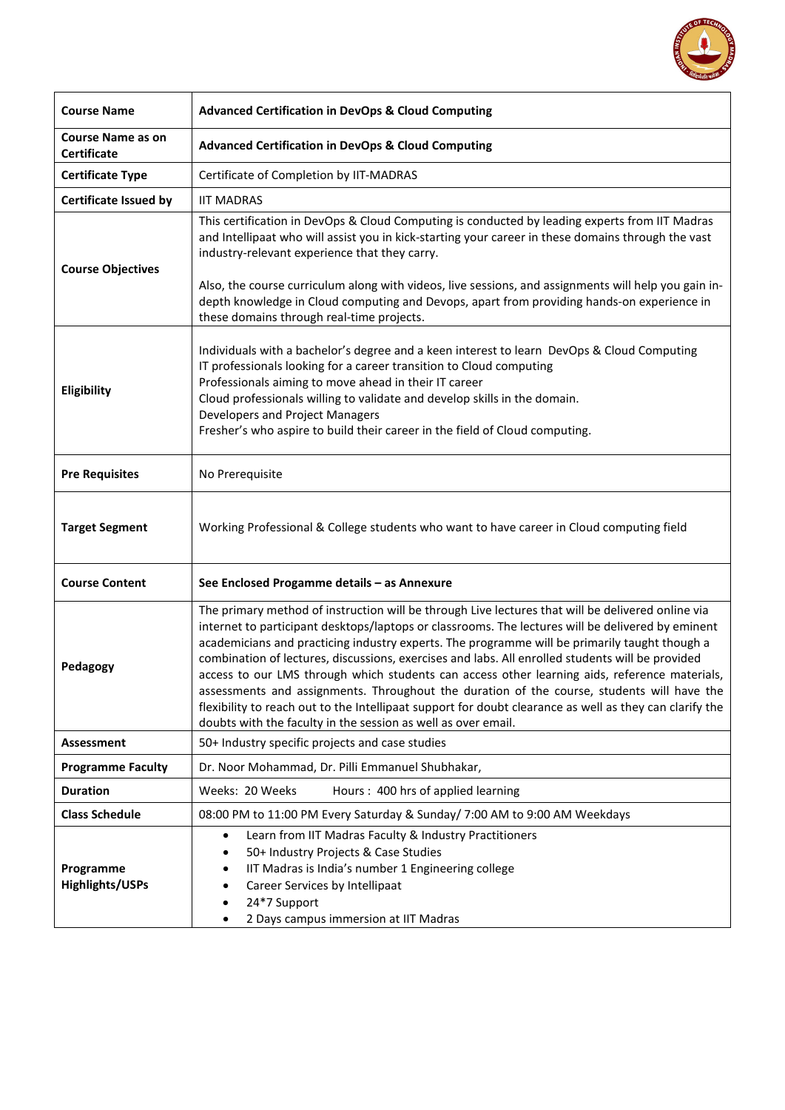

| <b>Course Name</b>                             | <b>Advanced Certification in DevOps &amp; Cloud Computing</b>                                                                                                                                                                                                                                                                                                                                                                                                                                                                                                                                                                                                                                                                                                                          |  |  |
|------------------------------------------------|----------------------------------------------------------------------------------------------------------------------------------------------------------------------------------------------------------------------------------------------------------------------------------------------------------------------------------------------------------------------------------------------------------------------------------------------------------------------------------------------------------------------------------------------------------------------------------------------------------------------------------------------------------------------------------------------------------------------------------------------------------------------------------------|--|--|
| <b>Course Name as on</b><br><b>Certificate</b> | <b>Advanced Certification in DevOps &amp; Cloud Computing</b>                                                                                                                                                                                                                                                                                                                                                                                                                                                                                                                                                                                                                                                                                                                          |  |  |
| <b>Certificate Type</b>                        | Certificate of Completion by IIT-MADRAS                                                                                                                                                                                                                                                                                                                                                                                                                                                                                                                                                                                                                                                                                                                                                |  |  |
| <b>Certificate Issued by</b>                   | <b>IIT MADRAS</b>                                                                                                                                                                                                                                                                                                                                                                                                                                                                                                                                                                                                                                                                                                                                                                      |  |  |
| <b>Course Objectives</b>                       | This certification in DevOps & Cloud Computing is conducted by leading experts from IIT Madras<br>and Intellipaat who will assist you in kick-starting your career in these domains through the vast<br>industry-relevant experience that they carry.<br>Also, the course curriculum along with videos, live sessions, and assignments will help you gain in-<br>depth knowledge in Cloud computing and Devops, apart from providing hands-on experience in                                                                                                                                                                                                                                                                                                                            |  |  |
|                                                | these domains through real-time projects.                                                                                                                                                                                                                                                                                                                                                                                                                                                                                                                                                                                                                                                                                                                                              |  |  |
| Eligibility                                    | Individuals with a bachelor's degree and a keen interest to learn DevOps & Cloud Computing<br>IT professionals looking for a career transition to Cloud computing<br>Professionals aiming to move ahead in their IT career<br>Cloud professionals willing to validate and develop skills in the domain.<br>Developers and Project Managers<br>Fresher's who aspire to build their career in the field of Cloud computing.                                                                                                                                                                                                                                                                                                                                                              |  |  |
| <b>Pre Requisites</b>                          | No Prerequisite                                                                                                                                                                                                                                                                                                                                                                                                                                                                                                                                                                                                                                                                                                                                                                        |  |  |
| <b>Target Segment</b>                          | Working Professional & College students who want to have career in Cloud computing field                                                                                                                                                                                                                                                                                                                                                                                                                                                                                                                                                                                                                                                                                               |  |  |
| <b>Course Content</b>                          | See Enclosed Progamme details - as Annexure                                                                                                                                                                                                                                                                                                                                                                                                                                                                                                                                                                                                                                                                                                                                            |  |  |
| Pedagogy                                       | The primary method of instruction will be through Live lectures that will be delivered online via<br>internet to participant desktops/laptops or classrooms. The lectures will be delivered by eminent<br>academicians and practicing industry experts. The programme will be primarily taught though a<br>combination of lectures, discussions, exercises and labs. All enrolled students will be provided<br>access to our LMS through which students can access other learning aids, reference materials,<br>assessments and assignments. Throughout the duration of the course, students will have the<br>flexibility to reach out to the Intellipaat support for doubt clearance as well as they can clarify the<br>doubts with the faculty in the session as well as over email. |  |  |
| <b>Assessment</b>                              | 50+ Industry specific projects and case studies                                                                                                                                                                                                                                                                                                                                                                                                                                                                                                                                                                                                                                                                                                                                        |  |  |
| <b>Programme Faculty</b>                       | Dr. Noor Mohammad, Dr. Pilli Emmanuel Shubhakar,                                                                                                                                                                                                                                                                                                                                                                                                                                                                                                                                                                                                                                                                                                                                       |  |  |
| <b>Duration</b>                                | Weeks: 20 Weeks<br>Hours: 400 hrs of applied learning                                                                                                                                                                                                                                                                                                                                                                                                                                                                                                                                                                                                                                                                                                                                  |  |  |
| <b>Class Schedule</b>                          | 08:00 PM to 11:00 PM Every Saturday & Sunday/ 7:00 AM to 9:00 AM Weekdays                                                                                                                                                                                                                                                                                                                                                                                                                                                                                                                                                                                                                                                                                                              |  |  |
| Programme<br><b>Highlights/USPs</b>            | Learn from IIT Madras Faculty & Industry Practitioners<br>$\bullet$<br>50+ Industry Projects & Case Studies<br>IIT Madras is India's number 1 Engineering college<br>Career Services by Intellipaat<br>24*7 Support<br>2 Days campus immersion at IIT Madras                                                                                                                                                                                                                                                                                                                                                                                                                                                                                                                           |  |  |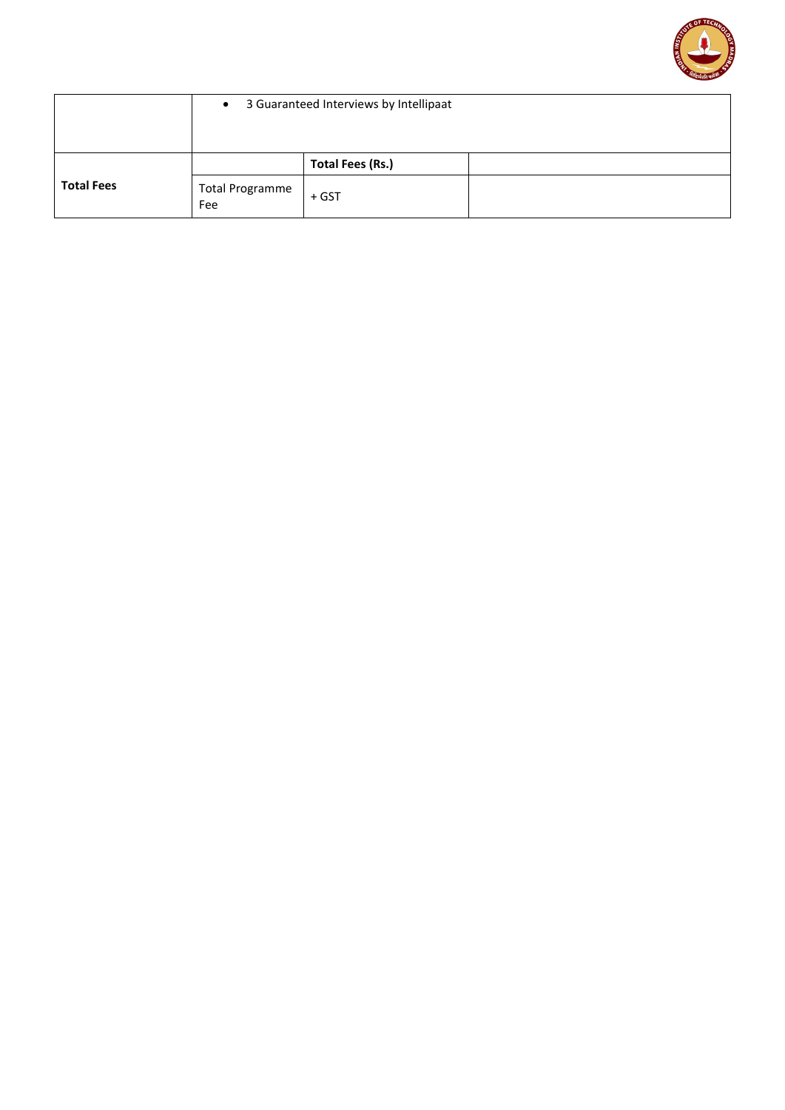

|                   | 3 Guaranteed Interviews by Intellipaat<br>$\bullet$ |                  |  |
|-------------------|-----------------------------------------------------|------------------|--|
| <b>Total Fees</b> |                                                     | Total Fees (Rs.) |  |
|                   | <b>Total Programme</b><br>Fee                       | + GST            |  |